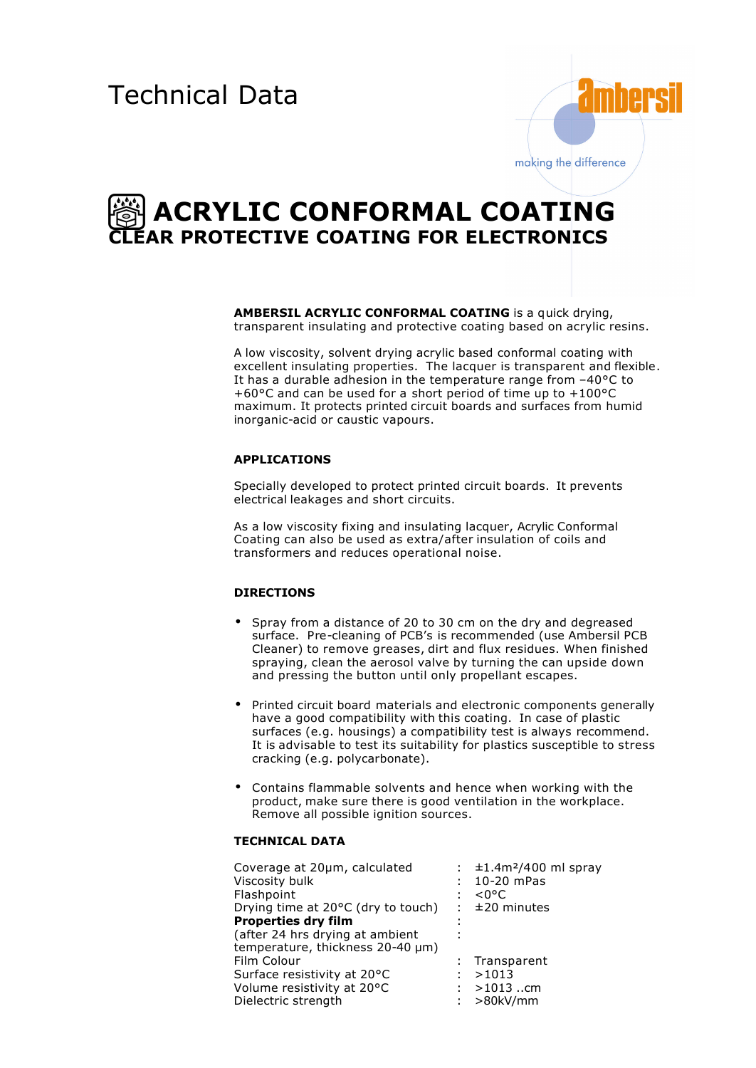

# **ACRYLIC CONFORMAL COATING CLEAR PROTECTIVE COATING FOR ELECTRONICS**

**AMBERSIL ACRYLIC CONFORMAL COATING** is a quick drying, transparent insulating and protective coating based on acrylic resins.

A low viscosity, solvent drying acrylic based conformal coating with excellent insulating properties. The lacquer is transparent and flexible. It has a durable adhesion in the temperature range from –40°C to +60°C and can be used for a short period of time up to +100°C maximum. It protects printed circuit boards and surfaces from humid inorganic-acid or caustic vapours.

### **APPLICATIONS**

Specially developed to protect printed circuit boards. It prevents electrical leakages and short circuits.

As a low viscosity fixing and insulating lacquer, Acrylic Conformal Coating can also be used as extra/after insulation of coils and transformers and reduces operational noise.

# **DIRECTIONS**

- Spray from a distance of 20 to 30 cm on the dry and degreased surface. Pre-cleaning of PCB's is recommended (use Ambersil PCB Cleaner) to remove greases, dirt and flux residues. When finished spraying, clean the aerosol valve by turning the can upside down and pressing the button until only propellant escapes.
- Printed circuit board materials and electronic components generally have a good compatibility with this coating. In case of plastic surfaces (e.g. housings) a compatibility test is always recommend. It is advisable to test its suitability for plastics susceptible to stress cracking (e.g. polycarbonate).
- Contains flammable solvents and hence when working with the product, make sure there is good ventilation in the workplace. Remove all possible ignition sources.

## **TECHNICAL DATA**

| Coverage at 20µm, calculated       |   | : $\pm 1.4$ m <sup>2</sup> /400 ml spray |
|------------------------------------|---|------------------------------------------|
| Viscosity bulk                     |   | 10-20 mPas                               |
| Flashpoint                         |   | $< 0^{\circ}$ C                          |
| Drying time at 20°C (dry to touch) | ÷ | $±20$ minutes                            |
| <b>Properties dry film</b>         |   |                                          |
| (after 24 hrs drying at ambient    |   |                                          |
| temperature, thickness 20-40 µm)   |   |                                          |
| Film Colour                        |   | : Transparent                            |
| Surface resistivity at 20°C        |   | >1013                                    |
| Volume resistivity at 20°C         |   | $>1013$ cm                               |
| Dielectric strength                |   | >80kV/mm                                 |